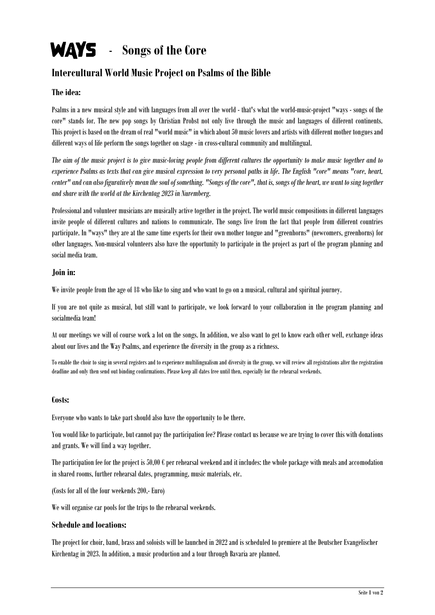# WAYS - Songs of the Core

## **Intercultural World Music Project on Psalms of the Bible**

### **The idea:**

Psalms in a new musical style and with languages from all over the world - that's what the world-music-project "ways - songs of the core" stands for. The new pop songs by Christian Probst not only live through the music and languages of different continents. This project is based on the dream of real "world music" in which about 50 music lovers and artists with different mother tongues and different ways of life perform the songs together on stage - in cross-cultural community and multilingual.

*The aim of the music project is to give music-loving people from different cultures the opportunity to make music together and to experience Psalms as texts that can give musical expression to very personal paths in life. The English "core" means "core, heart, center" and can also figuratively mean the soul of something. "Songs of the core", that is, songs of the heart, we want to sing together and share with the world at the Kirchentag 2023 in Nuremberg.*

Professional and volunteer musicians are musically active together in the project. The world music compositions in different languages invite people of different cultures and nations to communicate. The songs live from the fact that people from different countries participate. In "ways" they are at the same time experts for their own mother tongue and "greenhorns" (newcomers, greenhorns) for other languages. Non-musical volunteers also have the opportunity to participate in the project as part of the program planning and social media team.

#### **Join in:**

We invite people from the age of 18 who like to sing and who want to go on a musical, cultural and spiritual journey.

If you are not quite as musical, but still want to participate, we look forward to your collaboration in the program planning and socialmedia team!

At our meetings we will of course work a lot on the songs. In addition, we also want to get to know each other well, exchange ideas about our lives and the Way Psalms, and experience the diversity in the group as a richness.

To enable the choir to sing in several registers and to experience multilingualism and diversity in the group, we will review all registrations after the registration deadline and only then send out binding confirmations. Please keep all dates free until then, especially for the rehearsal weekends.

#### **Costs:**

Everyone who wants to take part should also have the opportunity to be there.

You would like to participate, but cannot pay the participation fee? Please contact us because we are trying to cover this with donations and grants. We will find a way together.

The participation fee for the project is 50,00 € per rehearsal weekend and it includes: the whole package with meals and accomodation in shared rooms, further rehearsal dates, programming, music materials, etc.

(Costs for all of the four weekends 200,- Euro)

We will organise car pools for the trips to the rehearsal weekends.

#### **Schedule and locations:**

The project for choir, band, brass and soloists will be launched in 2022 and is scheduled to premiere at the Deutscher Evangelischer Kirchentag in 2023. In addition, a music production and a tour through Bavaria are planned.